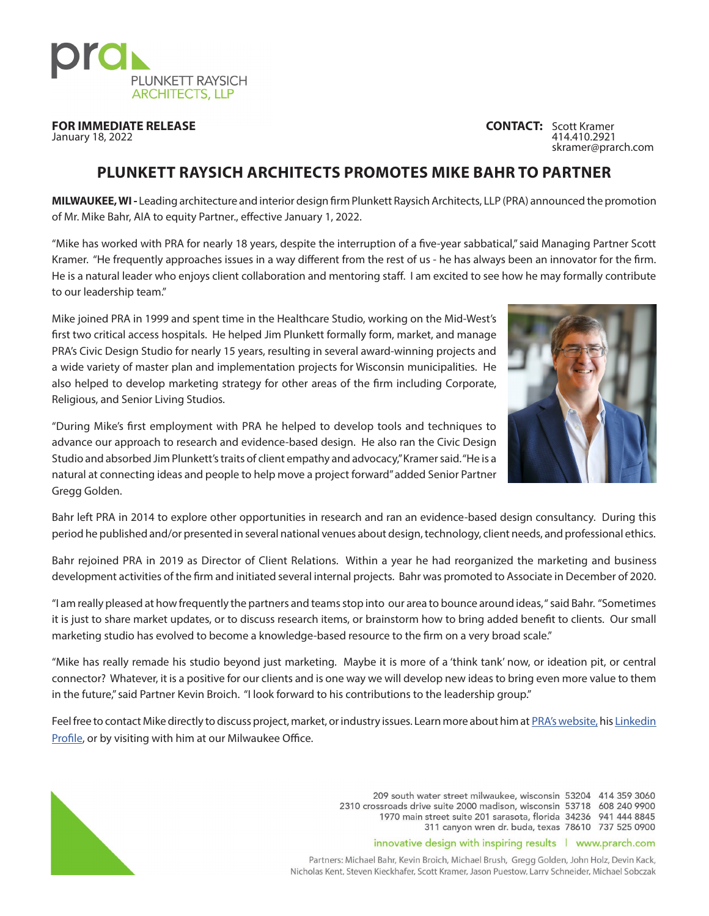

**FOR IMMEDIATE RELEASE CONTACT:** Scott Kramer **CONTACT:** Scott Kramer **CONTACT:** 414.410.2921

January 18, 2022 414.410.2921 skramer@prarch.com

## **PLUNKETT RAYSICH ARCHITECTS PROMOTES MIKE BAHR TO PARTNER**

**MILWAUKEE, WI -** Leading architecture and interior design firm Plunkett Raysich Architects, LLP (PRA) announced the promotion of Mr. Mike Bahr, AIA to equity Partner., effective January 1, 2022.

"Mike has worked with PRA for nearly 18 years, despite the interruption of a five-year sabbatical," said Managing Partner Scott Kramer. "He frequently approaches issues in a way different from the rest of us - he has always been an innovator for the firm. He is a natural leader who enjoys client collaboration and mentoring staff. I am excited to see how he may formally contribute to our leadership team."

Mike joined PRA in 1999 and spent time in the Healthcare Studio, working on the Mid-West's first two critical access hospitals. He helped Jim Plunkett formally form, market, and manage PRA's Civic Design Studio for nearly 15 years, resulting in several award-winning projects and a wide variety of master plan and implementation projects for Wisconsin municipalities. He also helped to develop marketing strategy for other areas of the firm including Corporate, Religious, and Senior Living Studios.



"During Mike's first employment with PRA he helped to develop tools and techniques to advance our approach to research and evidence-based design. He also ran the Civic Design Studio and absorbed Jim Plunkett's traits of client empathy and advocacy," Kramer said. "He is a natural at connecting ideas and people to help move a project forward" added Senior Partner Gregg Golden.

Bahr left PRA in 2014 to explore other opportunities in research and ran an evidence-based design consultancy. During this period he published and/or presented in several national venues about design, technology, client needs, and professional ethics.

Bahr rejoined PRA in 2019 as Director of Client Relations. Within a year he had reorganized the marketing and business development activities of the firm and initiated several internal projects. Bahr was promoted to Associate in December of 2020.

"I am really pleased at how frequently the partners and teams stop into our area to bounce around ideas, " said Bahr. "Sometimes it is just to share market updates, or to discuss research items, or brainstorm how to bring added benefit to clients. Our small marketing studio has evolved to become a knowledge-based resource to the firm on a very broad scale."

"Mike has really remade his studio beyond just marketing. Maybe it is more of a 'think tank' now, or ideation pit, or central connector? Whatever, it is a positive for our clients and is one way we will develop new ideas to bring even more value to them in the future," said Partner Kevin Broich. "I look forward to his contributions to the leadership group."

Feel free to contact Mike directly to discuss project, market, or industry issues. Learn more about him at [PRA's website,](https://www.prarch.com/people/michael-bahr/) his Linkedin [Profile](https://www.linkedin.com/in/michaelbahrarchitect/), or by visiting with him at our Milwaukee Office.



209 south water street milwaukee, wisconsin 53204 414 359 3060 2310 crossroads drive suite 2000 madison, wisconsin 53718 608 240 9900 1970 main street suite 201 sarasota, florida 34236 941 444 8845 311 canyon wren dr. buda, texas 78610 737 525 0900

## innovative design with inspiring results | www.prarch.com

Partners: Michael Bahr, Kevin Broich, Michael Brush, Gregg Golden, John Holz, Devin Kack, Nicholas Kent, Steven Kieckhafer, Scott Kramer, Jason Puestow, Larry Schneider, Michael Sobczak